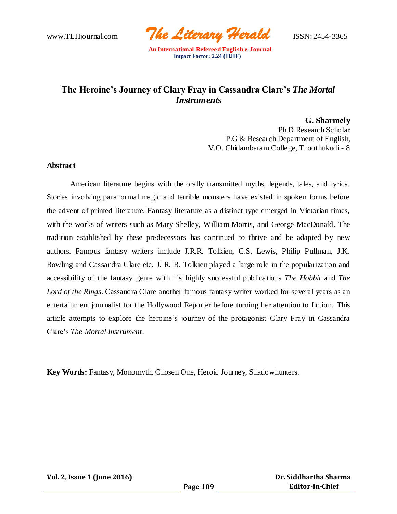www.TLHjournal.com *The Literary Herald*ISSN: 2454-3365

## **The Heroine's Journey of [Clary Fray i](https://valeriefrankel.wordpress.com/2016/01/12/clary-fray-and-the-heroines-journey/)n Cassandra Clare's** *The Mortal Instruments*

**G. Sharmely** Ph.D Research Scholar P.G & Research Department of English, V.O. Chidambaram College, Thoothukudi - 8

#### **Abstract**

American literature begins with the orally transmitted myths, legends, tales, and lyrics. Stories involving paranormal magic and terrible monsters have existed in spoken forms before the advent of printed literature. Fantasy literature as a distinct type emerged in Victorian times, with the works of writers such as Mary Shelley, William Morris, and George MacDonald. The tradition established by these predecessors has continued to thrive and be adapted by new authors. Famous fantasy writers include J.R.R. Tolkien, C.S. Lewis, Philip Pullman, J.K. Rowling and Cassandra Clare etc. J. R. R. Tolkien played a large role in the popularization and accessibility of the fantasy genre with his highly successful publica tions *The Hobbit* and *The Lord of the Rings*. Cassandra Clare another famous fantasy writer worked for several years as an entertainment journalist for the Hollywood Reporter before turning her attention to fiction. This article attempts to explore the heroine's journey of the protagonist Clary Fray in Cassandra Clare's *The Mortal Instrument*.

**Key Words:** Fantasy, Monomyth, Chosen One, Heroic Journey, Shadowhunters.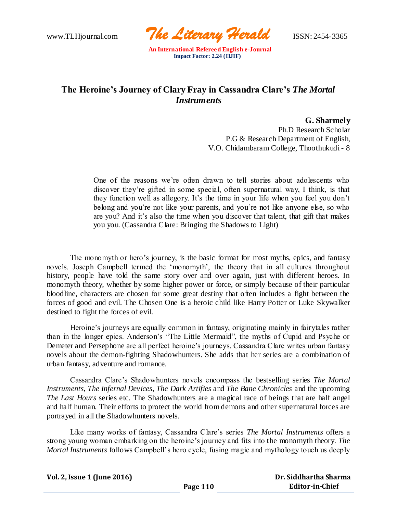www.TLHjournal.com *The Literary Herald*ISSN: 2454-3365

# **The Heroine's Journey of [Clary Fray i](https://valeriefrankel.wordpress.com/2016/01/12/clary-fray-and-the-heroines-journey/)n Cassandra Clare's** *The Mortal Instruments*

**G. Sharmely** Ph.D Research Scholar P.G & Research Department of English, V.O. Chidambaram College, Thoothukudi - 8

One of the reasons we're often drawn to tell stories about adolescents who discover they're gifted in some special, often supernatural way, I think, is that they function well as allegory. It's the time in your life when you feel you don't belong and you're not like your parents, and you're not like anyone else, so who are you? And it's also the time when you discover that talent, that gift that makes you you. (Cassandra Clare: Bringing the Shadows to Light)

The monomyth or hero's journey, is the basic format for most myths, epics, and fantasy novels. Joseph Campbell termed the 'monomyth', the theory that in all cultures throughout history, people have told the same story over and over again, just with different heroes. In monomyth theory, whether by some higher power or force, or simply because of their particular bloodline, characters are chosen for some great destiny that often includes a fight between the forces of good and evil. The Chosen One is a heroic child like Harry Potter or Luke Skywalker destined to fight the forces of evil.

Heroine's journeys are equally common in fantasy, originating mainly in fairytales rather than in the longer epics. Anderson's "The Little Mermaid", the myths of Cupid and Psyche or Demeter and Persephone are all perfect heroine's journeys. Cassandra Clare writes urban fantasy novels about the demon-fighting Shadowhunters. She adds that her series are a combination of urban fantasy, adventure and romance.

Cassandra Clare's Shadowhunters novels encompass the bestselling series *The Mortal Instruments*, *The Infernal Devices*, *The Dark Artifies* and *The Bane Chronicles* and the upcoming *The Last Hours* series etc. The Shadowhunters are a magical race of beings that are half angel and half human. Their efforts to protect the world from demons and other supernatural forces are portrayed in all the Shadowhunters novels.

Like many works of fantasy, Cassandra Clare's series *The Mortal Instruments* offers a strong young woman embarking on the heroine's journey and fits into the monomyth theory. *The Mortal Instruments* follows Campbell's hero cycle, fusing magic and mythology touch us deeply

| Vol. 2, Issue 1 (June 2016) |          | Dr. Siddhartha Sharma  |  |  |
|-----------------------------|----------|------------------------|--|--|
|                             | Page 110 | <b>Editor-in-Chief</b> |  |  |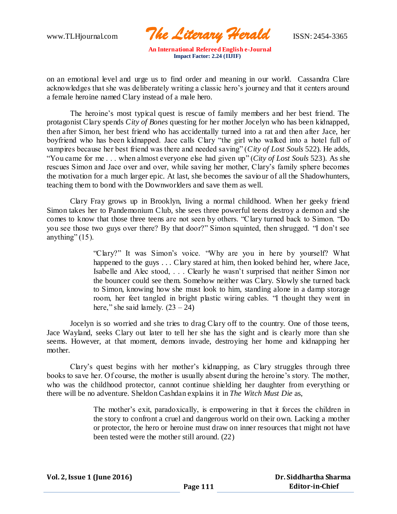www.TLHjournal.com *The Literary Herald*ISSN: 2454-3365

on an emotional level and urge us to find order and meaning in our world. Cassandra Clare acknowledges that she was deliberately writing a classic hero's journey and that it centers around a female heroine named Clary instead of a male hero.

The heroine's most typical quest is rescue of family members and her best friend. The protagonist Clary spends *City of Bones* questing for her mother Jocelyn who has been kidnapped, then after Simon, her best friend who has accidentally turned into a rat and then after Jace, her boyfriend who has been kidnapped. Jace calls Clary "the girl who walked into a hotel full of vampires because her best friend was there and needed saving" (*City of Lost Souls* 522). He adds, "You came for me . . . when almost everyone else had given up" (*City of Lost Souls* 523). As she rescues Simon and Jace over and over, while saving her mother, Clary's family sphere becomes the motivation for a much larger epic. At last, she becomes the saviour of all the Shadowhunters, teaching them to bond with the Downworlders and save them as well.

Clary Fray grows up in Brooklyn, living a normal childhood. When her geeky friend Simon takes her to Pandemonium Club, she sees three powerful teens destroy a demon and she comes to know that those three teens are not seen by others. "Clary turned back to Simon. "Do you see those two guys over there? By that door?" Simon squinted, then shrugged. "I don't see anything"  $(15)$ .

> "Clary?" It was Simon's voice. "Why are you in here by yourself? What happened to the guys . . . Clary stared at him, then looked behind her, where Jace, Isabelle and Alec stood, . . . Clearly he wasn't surprised that neither Simon nor the bouncer could see them. Somehow neither was Clary. Slowly she turned back to Simon, knowing how she must look to him, standing alone in a damp storage room, her feet tangled in bright plastic wiring cables. "I thought they went in here," she said lamely.  $(23 – 24)$

Jocelyn is so worried and she tries to drag Clary off to the country. One of those teens, Jace Wayland, seeks Clary out later to tell her she has the sight and is clearly more than she seems. However, at that moment, demons invade, destroying her home and kidnapping her mother.

Clary's quest begins with her mother's kidnapping, as Clary struggles through three books to save her. Of course, the mother is usually absent during the heroine's story. The mother, who was the childhood protector, cannot continue shielding her daughter from everything or there will be no adventure. Sheldon Cashdan explains it in *The Witch Must Die* as,

> The mother's exit, paradoxically, is empowering in that it forces the children in the story to confront a cruel and dangerous world on their own. Lacking a mother or protector, the hero or heroine must draw on inner resources that might not have been tested were the mother still around. (22)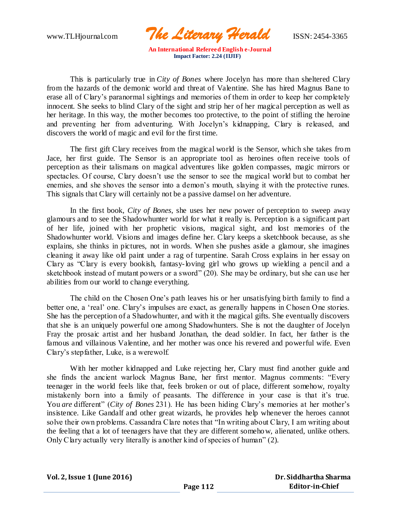www.TLHjournal.com *The Literary Herald*ISSN: 2454-3365

This is particularly true in *City of Bones* where Jocelyn has more than sheltered Clary from the hazards of the demonic world and threat of Valentine. She has hired Magnus Bane to erase all of Clary's paranormal sightings and memories of them in order to keep her completely innocent. She seeks to blind Clary of the sight and strip her of her magical perception as well as her heritage. In this way, the mother becomes too protective, to the point of stifling the heroine and preventing her from adventuring. With Jocelyn's kidnapping, Clary is released, and discovers the world of magic and evil for the first time.

The first gift Clary receives from the magical world is the Sensor, which she takes from Jace, her first guide. The Sensor is an appropriate tool as heroines often receive tools of perception as their talismans on magical adventures like golden compasses, magic mirrors or spectacles. Of course, Clary doesn't use the sensor to see the magical world but to combat her enemies, and she shoves the sensor into a demon's mouth, slaying it with the protective runes. This signals that Clary will certainly not be a passive damsel on her adventure.

In the first book, *City of Bones*, she uses her new power of perception to sweep away glamours and to see the Shadowhunter world for what it really is. Perception is a significant part of her life, joined with her prophetic visions, magical sight, and lost memories of the Shadowhunter world. Visions and images define her. Clary keeps a sketchbook because, as she explains, she thinks in pictures, not in words. When she pushes aside a glamour, she imagines cleaning it away like old paint under a rag of turpentine. Sarah Cross explains in her essay on Clary as "Clary is every bookish, fantasy-loving girl who grows up wielding a pencil and a sketchbook instead of mutant powers or a sword" (20). She may be ordinary, but she can use her abilities from our world to change everything.

The child on the Chosen One's path leaves his or her unsatisfying birth family to find a better one, a 'real' one. Clary's impulses are exact, as generally happens in Chosen One stories. She has the perception of a Shadowhunter, and with it the magical gifts. She eventually discovers that she is an uniquely powerful one among Shadowhunters. She is not the daughter of Jocelyn Fray the prosaic artist and her husband Jonathan, the dead soldier. In fact, her father is the famous and villainous Valentine, and her mother was once his revered and powerful wife. Even Clary's stepfather, Luke, is a werewolf.

With her mother kidnapped and Luke rejecting her, Clary must find another guide and she finds the ancient warlock Magnus Bane, her first mentor. Magnus comments: "Every teenager in the world feels like that, feels broken or out of place, different somehow, royalty mistakenly born into a family of peasants. The difference in your case is that it's true. You *are* different" (*City of Bones* 231). He has been hiding Clary's memories at her mother's insistence. Like Gandalf and other great wizards, he provides help whenever the heroes cannot solve their own problems. Cassandra Clare notes that "In writing about Clary, I am writing about the feeling that a lot of teenagers have that they are different somehow, alienated, unlike others. Only Clary actually very literally is another kind of species of human" (2).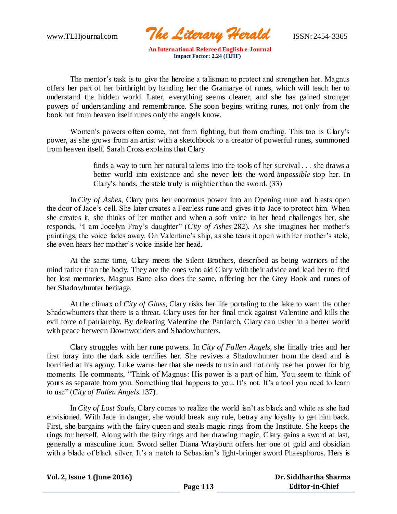www.TLHjournal.com *The Literary Herald*ISSN: 2454-3365

The mentor's task is to give the heroine a talisman to protect and strengthen her. Magnus offers her part of her birthright by handing her the Gramarye of runes, which will teach her to understand the hidden world. Later, everything seems clearer, and she has gained stronger powers of understanding and remembrance. She soon begins writing runes, not only from the book but from heaven itself runes only the angels know.

Women's powers often come, not from fighting, but from crafting. This too is Clary's power, as she grows from an artist with a sketchbook to a creator of powerful runes, summoned from heaven itself. Sarah Cross explains that Clary

> finds a way to turn her natural talents into the tools of her survival . . . she draws a better world into existence and she never lets the word *impossible* stop her. In Clary's hands, the stele truly is mightier than the sword. (33)

In *City of Ashes*, Clary puts her enormous power into an Opening rune and blasts open the door of Jace's cell. She later creates a Fearless rune and gives it to Jace to protect him. When she creates it, she thinks of her mother and when a soft voice in her head challenges her, she responds, "I am Jocelyn Fray's daughter" (*City of Ashes* 282). As she imagines her mother's paintings, the voice fades away. On Valentine's ship, as she tears it open with her mother's stele, she even hears her mother's voice inside her head.

At the same time, Clary meets the Silent Brothers, described as being warriors of the mind rather than the body. They are the ones who aid Clary with their advice and lead her to find her lost memories. Magnus Bane also does the same, offering her the Grey Book and runes of her Shadowhunter heritage.

At the climax of *City of Glass,* Clary risks her life portaling to the lake to warn the other Shadowhunters that there is a threat. Clary uses for her final trick against Valentine and kills the evil force of patriarchy. By defeating Valentine the Patriarch, Clary can usher in a better world with peace between Downworlders and Shadowhunters.

Clary struggles with her rune powers. In *City of Fallen Angels,* she finally tries and her first foray into the dark side terrifies her. She revives a Shadowhunter from the dead and is horrified at his agony. Luke warns her that she needs to train and not only use her power for big moments. He comments, "Think of Magnus: His power is a part of him. You seem to think of yours as separate from you. Something that happens to you. It's not. It's a tool you need to learn to use" (*City of Fallen Angels* 137).

In *City of Lost Souls*, Clary comes to realize the world isn't as black and white as she had envisioned. With Jace in danger, she would break any rule, betray any loyalty to get him back. First, she bargains with the fairy queen and steals magic rings from the Institute. She keeps the rings for herself. Along with the fairy rings and her drawing magic, Clary gains a sword at last, generally a masculine icon. Sword seller Diana Wrayburn offers her one of gold and obsidian with a blade of black silver. It's a match to Sebastian's light-bringer sword Phaesphoros. Hers is

|  |  | Vol. 2, Issue 1 (June 2016) |  |
|--|--|-----------------------------|--|
|  |  |                             |  |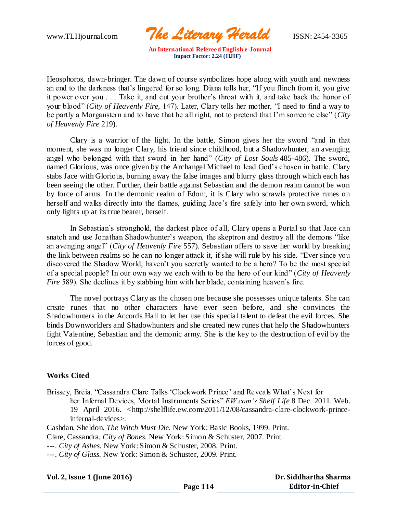www.TLHjournal.com *The Literary Herald*ISSN: 2454-3365

Heosphoros, dawn-bringer. The dawn of course symbolizes hope along with youth and newness an end to the darkness that's lingered for so long. Diana tells her, "If you flinch from it, you give it power over you . . . Take it, and cut your brother's throat with it, and take back the honor of your blood" (*City of Heavenly Fire,* 147). Later, Clary tells her mother, "I need to find a way to be partly a Morganstern and to have that be all right, not to pretend that I'm someone else" (*City of Heavenly Fire* 219).

Clary is a warrior of the light. In the battle, Simon gives her the sword "and in that moment, she was no longer Clary, his friend since childhood, but a Shadowhunter, an avenging angel who belonged with that sword in her hand" (*City of Lost Souls* 485-486). The sword, named Glorious, was once given by the Archangel Michael to lead God's chosen in battle. Clary stabs Jace with Glorious, burning away the false images and blurry glass through which each has been seeing the other. Further, their battle against Sebastian and the demon realm cannot be won by force of arms. In the demonic realm of Edom, it is Clary who scrawls protective runes on herself and walks directly into the flames, guiding Jace's fire safely into her own sword, which only lights up at its true bearer, herself.

In Sebastian's stronghold, the darkest place of all, Clary opens a Portal so that Jace can snatch and use Jonathan Shadowhunter's weapon, the skeptron and destroy all the demons "like an avenging angel" (*City of Heavenly Fire* 557). Sebastian offers to save her world by breaking the link between realms so he can no longer attack it, if she will rule by his side. "Ever since you discovered the Shadow World, haven't you secretly wanted to be a hero? To be the most special of a special people? In our own way we each with to be the hero of our kind" (*City of Heavenly Fire* 589). She declines it by stabbing him with her blade, containing heaven's fire.

The novel portrays Clary as the chosen one because she possesses unique talents. She can create runes that no other characters have ever seen before, and she convinces the Shadowhunters in the Accords Hall to let her use this special talent to defeat the evil forces. She binds Downworlders and Shadowhunters and she created new runes that help the Shadowhunters fight Valentine, Sebastian and the demonic army. She is the key to the destruction of evil by the forces of good.

### **Works Cited**

Brissey, Breia. "Cassandra Clare Talks 'Clockwork Prince' and Reveals What's Next for her Infernal Devices, Mortal Instruments Series" *EW.com's Shelf Life* 8 Dec. 2011. Web. 19 April 2016. [<http://shelflife.ew.com/2011/12/08/cassandra-clare-clockwork-prince](http://shelflife.ew.com/2011/12/08/cassandra-clare-clockwork-prince-infernal-devices)[infernal-devices>](http://shelflife.ew.com/2011/12/08/cassandra-clare-clockwork-prince-infernal-devices).

Cashdan, Sheldon. *The Witch Must Die.* New York: Basic Books, 1999. Print.

Clare, Cassandra. *City of Bones.* New York: Simon & Schuster, 2007. Print.

---. *City of Ashes.* New York: Simon & Schuster, 2008. Print.

---. *City of Glass.* New York: Simon & Schuster, 2009. Print.

#### **Vol. 2, Issue 1 (June 2016)**

 **Dr. Siddhartha Sharma Editor-in-Chief**